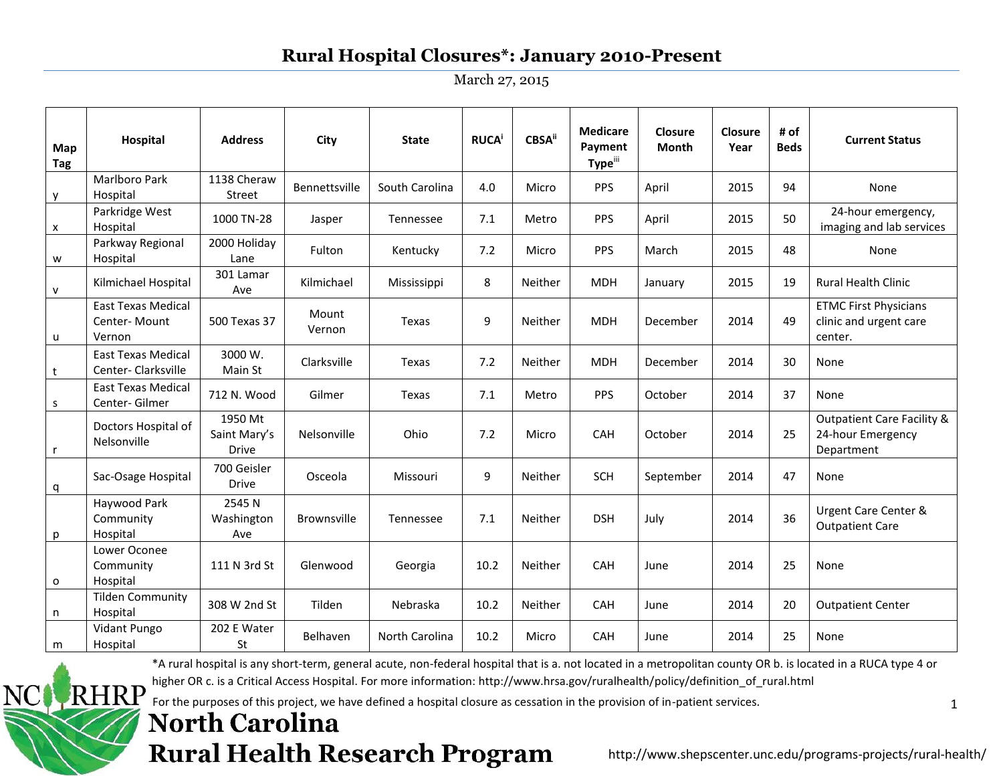March 27, 2015

| Map<br>Tag   | Hospital                                            | <b>Address</b>                          | City               | <b>State</b>   | <b>RUCA</b> | ${\sf CBSA}^{\sf ii}$ | <b>Medicare</b><br>Payment<br>Typeiii | <b>Closure</b><br>Month | Closure<br>Year | # of<br><b>Beds</b> | <b>Current Status</b>                                                    |
|--------------|-----------------------------------------------------|-----------------------------------------|--------------------|----------------|-------------|-----------------------|---------------------------------------|-------------------------|-----------------|---------------------|--------------------------------------------------------------------------|
| y            | <b>Marlboro Park</b><br>Hospital                    | 1138 Cheraw<br>Street                   | Bennettsville      | South Carolina | 4.0         | Micro                 | <b>PPS</b>                            | April                   | 2015            | 94                  | None                                                                     |
| X            | Parkridge West<br>Hospital                          | 1000 TN-28                              | Jasper             | Tennessee      | 7.1         | Metro                 | <b>PPS</b>                            | April                   | 2015            | 50                  | 24-hour emergency,<br>imaging and lab services                           |
| W            | Parkway Regional<br>Hospital                        | 2000 Holiday<br>Lane                    | Fulton             | Kentucky       | 7.2         | Micro                 | <b>PPS</b>                            | March                   | 2015            | 48                  | None                                                                     |
| $\mathsf{v}$ | Kilmichael Hospital                                 | 301 Lamar<br>Ave                        | Kilmichael         | Mississippi    | 8           | Neither               | <b>MDH</b>                            | January                 | 2015            | 19                  | <b>Rural Health Clinic</b>                                               |
| u            | <b>East Texas Medical</b><br>Center-Mount<br>Vernon | 500 Texas 37                            | Mount<br>Vernon    | Texas          | 9           | Neither               | <b>MDH</b>                            | December                | 2014            | 49                  | <b>ETMC First Physicians</b><br>clinic and urgent care<br>center.        |
| t            | <b>East Texas Medical</b><br>Center-Clarksville     | 3000 W.<br>Main St                      | Clarksville        | Texas          | 7.2         | Neither               | <b>MDH</b>                            | December                | 2014            | 30                  | None                                                                     |
| $\mathsf{s}$ | <b>East Texas Medical</b><br>Center-Gilmer          | 712 N. Wood                             | Gilmer             | Texas          | 7.1         | Metro                 | <b>PPS</b>                            | October                 | 2014            | 37                  | None                                                                     |
| $\mathsf{r}$ | Doctors Hospital of<br>Nelsonville                  | 1950 Mt<br>Saint Mary's<br><b>Drive</b> | Nelsonville        | Ohio           | 7.2         | Micro                 | CAH                                   | October                 | 2014            | 25                  | <b>Outpatient Care Facility &amp;</b><br>24-hour Emergency<br>Department |
| q            | Sac-Osage Hospital                                  | 700 Geisler<br><b>Drive</b>             | Osceola            | Missouri       | 9           | Neither               | <b>SCH</b>                            | September               | 2014            | 47                  | None                                                                     |
| p            | Haywood Park<br>Community<br>Hospital               | 2545N<br>Washington<br>Ave              | <b>Brownsville</b> | Tennessee      | 7.1         | Neither               | <b>DSH</b>                            | July                    | 2014            | 36                  | Urgent Care Center &<br><b>Outpatient Care</b>                           |
| $\mathbf{o}$ | Lower Oconee<br>Community<br>Hospital               | 111 N 3rd St                            | Glenwood           | Georgia        | 10.2        | Neither               | CAH                                   | June                    | 2014            | 25                  | None                                                                     |
| n            | <b>Tilden Community</b><br>Hospital                 | 308 W 2nd St                            | Tilden             | Nebraska       | 10.2        | Neither               | CAH                                   | June                    | 2014            | 20                  | <b>Outpatient Center</b>                                                 |
| m            | Vidant Pungo<br>Hospital                            | 202 E Water<br>St                       | Belhaven           | North Carolina | 10.2        | Micro                 | CAH                                   | June                    | 2014            | 25                  | None                                                                     |

\*A rural hospital is any short-term, general acute, non-federal hospital that is a. not located in a metropolitan county OR b. is located in a RUCA type 4 or

higher OR c. is a Critical Access Hospital. For more information: http://www.hrsa.gov/ruralhealth/policy/definition\_of\_rural.html RHRP

For the purposes of this project, we have defined a hospital closure as cessation in the provision of in-patient services.

## **North Carolina Rural Health Research Program**

NC |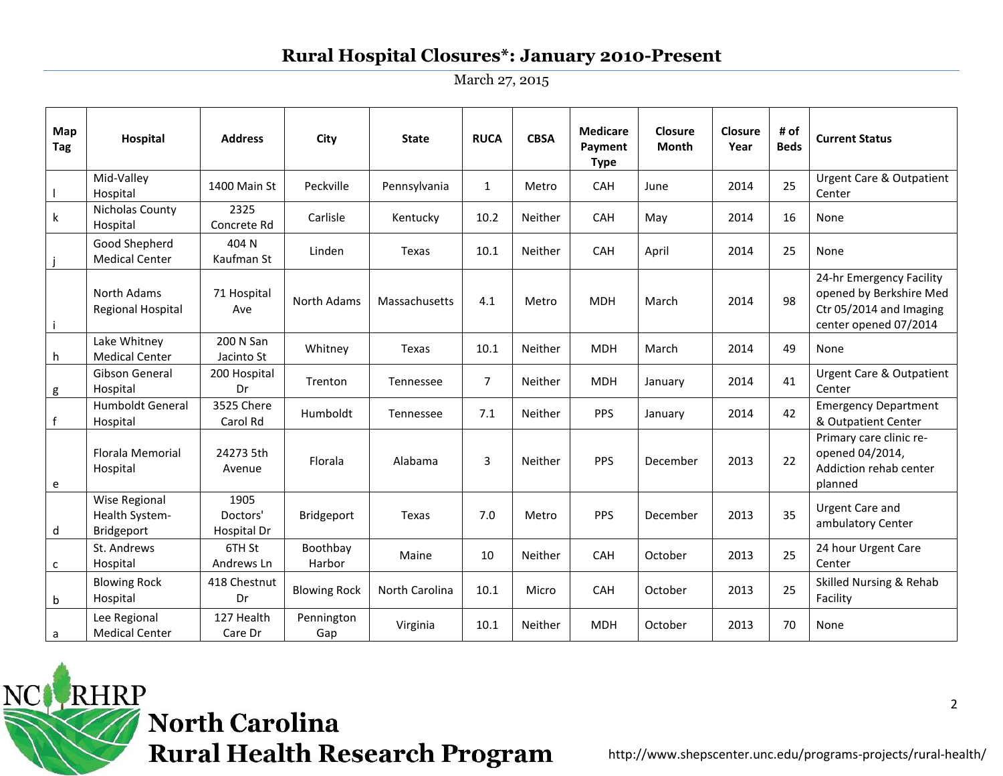March 27, 2015

| Map<br><b>Tag</b> | Hospital                                             | <b>Address</b>                  | City                | <b>State</b>   | <b>RUCA</b>    | <b>CBSA</b> | <b>Medicare</b><br>Payment<br><b>Type</b> | <b>Closure</b><br><b>Month</b> | Closure<br>Year | # of<br><b>Beds</b> | <b>Current Status</b>                                                                                   |
|-------------------|------------------------------------------------------|---------------------------------|---------------------|----------------|----------------|-------------|-------------------------------------------|--------------------------------|-----------------|---------------------|---------------------------------------------------------------------------------------------------------|
|                   | Mid-Valley<br>Hospital                               | 1400 Main St                    | Peckville           | Pennsylvania   | $\mathbf{1}$   | Metro       | CAH                                       | June                           | 2014            | 25                  | <b>Urgent Care &amp; Outpatient</b><br>Center                                                           |
| $\mathsf k$       | Nicholas County<br>Hospital                          | 2325<br>Concrete Rd             | Carlisle            | Kentucky       | 10.2           | Neither     | CAH                                       | May                            | 2014            | 16                  | None                                                                                                    |
|                   | Good Shepherd<br><b>Medical Center</b>               | 404 N<br>Kaufman St             | Linden              | Texas          | 10.1           | Neither     | CAH                                       | April                          | 2014            | 25                  | None                                                                                                    |
| $\mathbf i$       | North Adams<br>Regional Hospital                     | 71 Hospital<br>Ave              | North Adams         | Massachusetts  | 4.1            | Metro       | <b>MDH</b>                                | March                          | 2014            | 98                  | 24-hr Emergency Facility<br>opened by Berkshire Med<br>Ctr 05/2014 and Imaging<br>center opened 07/2014 |
| h                 | Lake Whitney<br><b>Medical Center</b>                | 200 N San<br>Jacinto St         | Whitney             | Texas          | 10.1           | Neither     | <b>MDH</b>                                | March                          | 2014            | 49                  | None                                                                                                    |
| g                 | Gibson General<br>Hospital                           | 200 Hospital<br>Dr              | Trenton             | Tennessee      | $\overline{7}$ | Neither     | <b>MDH</b>                                | January                        | 2014            | 41                  | <b>Urgent Care &amp; Outpatient</b><br>Center                                                           |
| $\mathsf f$       | <b>Humboldt General</b><br>Hospital                  | 3525 Chere<br>Carol Rd          | Humboldt            | Tennessee      | 7.1            | Neither     | <b>PPS</b>                                | January                        | 2014            | 42                  | <b>Emergency Department</b><br>& Outpatient Center                                                      |
| e                 | Florala Memorial<br>Hospital                         | 24273 5th<br>Avenue             | Florala             | Alabama        | 3              | Neither     | <b>PPS</b>                                | December                       | 2013            | 22                  | Primary care clinic re-<br>opened 04/2014,<br>Addiction rehab center<br>planned                         |
| d                 | <b>Wise Regional</b><br>Health System-<br>Bridgeport | 1905<br>Doctors'<br>Hospital Dr | Bridgeport          | Texas          | 7.0            | Metro       | <b>PPS</b>                                | December                       | 2013            | 35                  | <b>Urgent Care and</b><br>ambulatory Center                                                             |
| $\mathsf{c}$      | St. Andrews<br>Hospital                              | 6TH St<br>Andrews Ln            | Boothbay<br>Harbor  | Maine          | 10             | Neither     | CAH                                       | October                        | 2013            | 25                  | 24 hour Urgent Care<br>Center                                                                           |
| $\mathsf b$       | <b>Blowing Rock</b><br>Hospital                      | 418 Chestnut<br>Dr              | <b>Blowing Rock</b> | North Carolina | 10.1           | Micro       | CAH                                       | October                        | 2013            | 25                  | Skilled Nursing & Rehab<br>Facility                                                                     |
| a                 | Lee Regional<br><b>Medical Center</b>                | 127 Health<br>Care Dr           | Pennington<br>Gap   | Virginia       | 10.1           | Neither     | <b>MDH</b>                                | October                        | 2013            | 70                  | None                                                                                                    |

RHRP **North Carolina Rural Health Research Program** 

NC(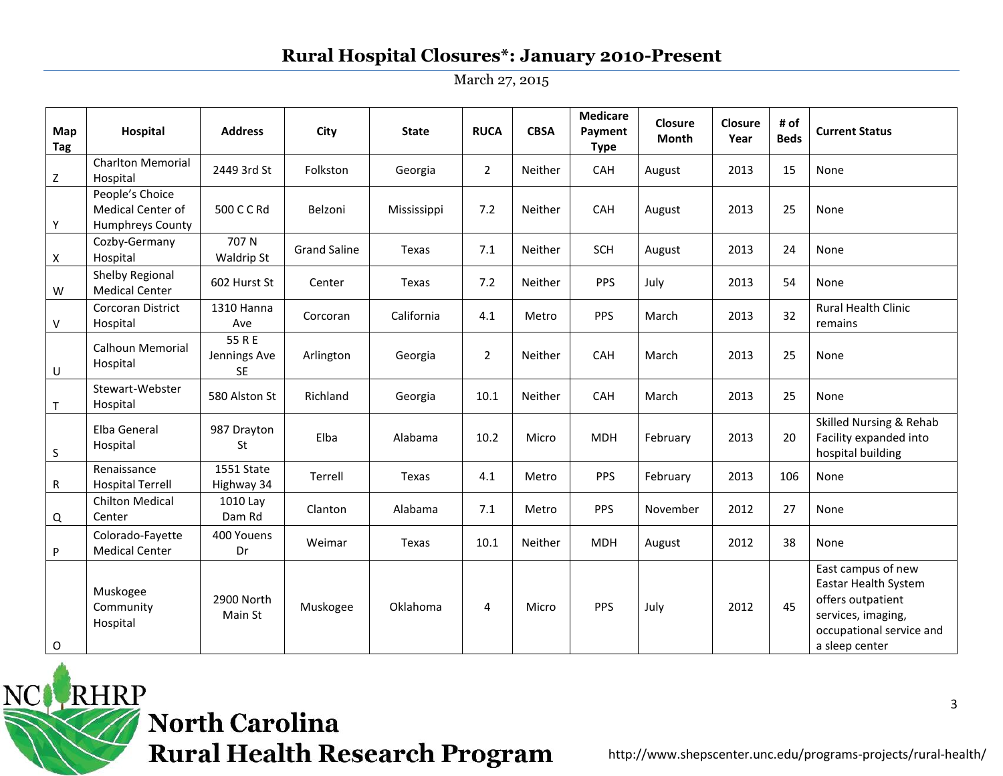March 27, 2015

| Map<br>Tag   | <b>Hospital</b>                                                 | <b>Address</b>                      | City                | <b>State</b> | <b>RUCA</b>    | <b>CBSA</b> | <b>Medicare</b><br>Payment<br><b>Type</b> | Closure<br>Month | Closure<br>Year | # of<br><b>Beds</b> | <b>Current Status</b>                                                                                                               |
|--------------|-----------------------------------------------------------------|-------------------------------------|---------------------|--------------|----------------|-------------|-------------------------------------------|------------------|-----------------|---------------------|-------------------------------------------------------------------------------------------------------------------------------------|
| $\mathsf{Z}$ | <b>Charlton Memorial</b><br>Hospital                            | 2449 3rd St                         | Folkston            | Georgia      | $\overline{2}$ | Neither     | CAH                                       | August           | 2013            | 15                  | None                                                                                                                                |
| Υ            | People's Choice<br><b>Medical Center of</b><br>Humphreys County | 500 C C Rd                          | Belzoni             | Mississippi  | 7.2            | Neither     | CAH                                       | August           | 2013            | 25                  | None                                                                                                                                |
| Χ            | Cozby-Germany<br>Hospital                                       | 707N<br>Waldrip St                  | <b>Grand Saline</b> | Texas        | 7.1            | Neither     | SCH                                       | August           | 2013            | 24                  | None                                                                                                                                |
| W            | Shelby Regional<br><b>Medical Center</b>                        | 602 Hurst St                        | Center              | Texas        | 7.2            | Neither     | <b>PPS</b>                                | July             | 2013            | 54                  | None                                                                                                                                |
| V            | Corcoran District<br>Hospital                                   | 1310 Hanna<br>Ave                   | Corcoran            | California   | 4.1            | Metro       | PPS                                       | March            | 2013            | 32                  | Rural Health Clinic<br>remains                                                                                                      |
| U            | <b>Calhoun Memorial</b><br>Hospital                             | 55 R E<br>Jennings Ave<br><b>SE</b> | Arlington           | Georgia      | $\overline{2}$ | Neither     | CAH                                       | March            | 2013            | 25                  | None                                                                                                                                |
| $\top$       | Stewart-Webster<br>Hospital                                     | 580 Alston St                       | Richland            | Georgia      | 10.1           | Neither     | CAH                                       | March            | 2013            | 25                  | None                                                                                                                                |
| $\mathsf S$  | Elba General<br>Hospital                                        | 987 Drayton<br><b>St</b>            | Elba                | Alabama      | 10.2           | Micro       | <b>MDH</b>                                | February         | 2013            | 20                  | Skilled Nursing & Rehab<br>Facility expanded into<br>hospital building                                                              |
| R            | Renaissance<br><b>Hospital Terrell</b>                          | 1551 State<br>Highway 34            | Terrell             | Texas        | 4.1            | Metro       | <b>PPS</b>                                | February         | 2013            | 106                 | None                                                                                                                                |
| Q            | <b>Chilton Medical</b><br>Center                                | 1010 Lay<br>Dam Rd                  | Clanton             | Alabama      | 7.1            | Metro       | PPS                                       | November         | 2012            | 27                  | None                                                                                                                                |
| P            | Colorado-Fayette<br><b>Medical Center</b>                       | 400 Youens<br>Dr                    | Weimar              | Texas        | 10.1           | Neither     | <b>MDH</b>                                | August           | 2012            | 38                  | None                                                                                                                                |
| O            | Muskogee<br>Community<br>Hospital                               | 2900 North<br>Main St               | Muskogee            | Oklahoma     | 4              | Micro       | <b>PPS</b>                                | July             | 2012            | 45                  | East campus of new<br>Eastar Health System<br>offers outpatient<br>services, imaging,<br>occupational service and<br>a sleep center |

NC RHRP **North Carolina Rural Health Research Program**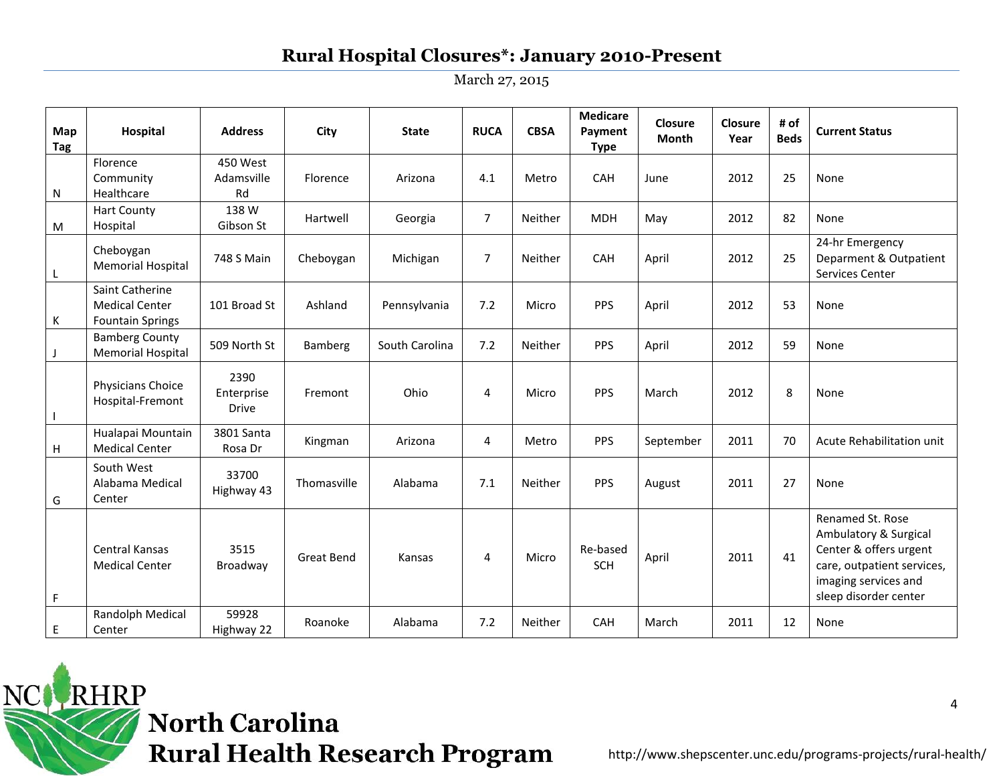March 27, 2015

| Map<br><b>Tag</b> | Hospital                                                            | <b>Address</b>                     | City              | <b>State</b>   | <b>RUCA</b>    | <b>CBSA</b> | <b>Medicare</b><br>Payment<br><b>Type</b> | Closure<br>Month | Closure<br>Year | # of<br><b>Beds</b> | <b>Current Status</b>                                                                                                                              |
|-------------------|---------------------------------------------------------------------|------------------------------------|-------------------|----------------|----------------|-------------|-------------------------------------------|------------------|-----------------|---------------------|----------------------------------------------------------------------------------------------------------------------------------------------------|
| N                 | Florence<br>Community<br>Healthcare                                 | 450 West<br>Adamsville<br>Rd       | Florence          | Arizona        | 4.1            | Metro       | CAH                                       | June             | 2012            | 25                  | None                                                                                                                                               |
| M                 | <b>Hart County</b><br>Hospital                                      | 138 W<br>Gibson St                 | Hartwell          | Georgia        | $\overline{7}$ | Neither     | <b>MDH</b>                                | May              | 2012            | 82                  | None                                                                                                                                               |
| L                 | Cheboygan<br><b>Memorial Hospital</b>                               | 748 S Main                         | Cheboygan         | Michigan       | $\overline{7}$ | Neither     | CAH                                       | April            | 2012            | 25                  | 24-hr Emergency<br>Deparment & Outpatient<br>Services Center                                                                                       |
| К                 | Saint Catherine<br><b>Medical Center</b><br><b>Fountain Springs</b> | 101 Broad St                       | Ashland           | Pennsylvania   | 7.2            | Micro       | PPS                                       | April            | 2012            | 53                  | None                                                                                                                                               |
|                   | <b>Bamberg County</b><br><b>Memorial Hospital</b>                   | 509 North St                       | Bamberg           | South Carolina | 7.2            | Neither     | <b>PPS</b>                                | April            | 2012            | 59                  | None                                                                                                                                               |
|                   | Physicians Choice<br>Hospital-Fremont                               | 2390<br>Enterprise<br><b>Drive</b> | Fremont           | Ohio           | 4              | Micro       | PPS                                       | March            | 2012            | 8                   | None                                                                                                                                               |
| н                 | Hualapai Mountain<br><b>Medical Center</b>                          | 3801 Santa<br>Rosa Dr              | Kingman           | Arizona        | 4              | Metro       | <b>PPS</b>                                | September        | 2011            | 70                  | Acute Rehabilitation unit                                                                                                                          |
| G                 | South West<br>Alabama Medical<br>Center                             | 33700<br>Highway 43                | Thomasville       | Alabama        | 7.1            | Neither     | <b>PPS</b>                                | August           | 2011            | 27                  | None                                                                                                                                               |
| F                 | <b>Central Kansas</b><br><b>Medical Center</b>                      | 3515<br>Broadway                   | <b>Great Bend</b> | Kansas         | 4              | Micro       | Re-based<br><b>SCH</b>                    | April            | 2011            | 41                  | Renamed St. Rose<br>Ambulatory & Surgical<br>Center & offers urgent<br>care, outpatient services,<br>imaging services and<br>sleep disorder center |
| E                 | Randolph Medical<br>Center                                          | 59928<br>Highway 22                | Roanoke           | Alabama        | 7.2            | Neither     | CAH                                       | March            | 2011            | 12                  | <b>None</b>                                                                                                                                        |

RHRP **North Carolina Rural Health Research Program** 

NC.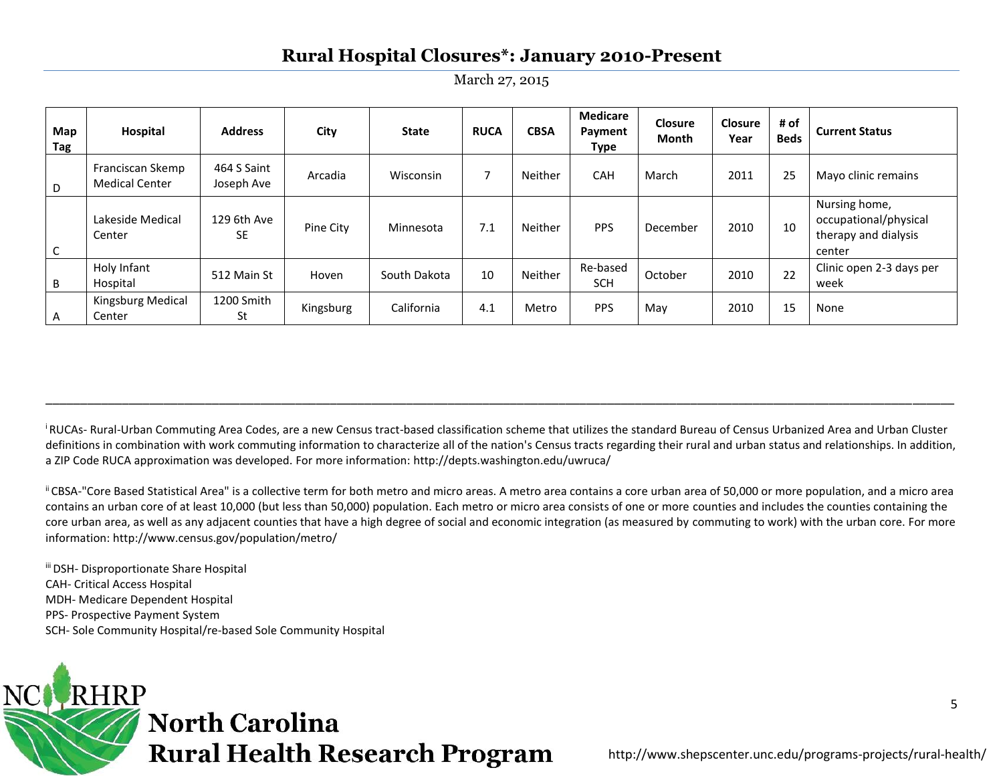March 27, 2015

| Map<br>Tag | Hospital                                  | <b>Address</b>            | City      | <b>State</b> | <b>RUCA</b> | <b>CBSA</b> | <b>Medicare</b><br>Payment<br>Type | <b>Closure</b><br><b>Month</b> | <b>Closure</b><br>Year | # of<br><b>Beds</b> | <b>Current Status</b>                                                    |
|------------|-------------------------------------------|---------------------------|-----------|--------------|-------------|-------------|------------------------------------|--------------------------------|------------------------|---------------------|--------------------------------------------------------------------------|
| D          | Franciscan Skemp<br><b>Medical Center</b> | 464 S Saint<br>Joseph Ave | Arcadia   | Wisconsin    | 7           | Neither     | CAH                                | March                          | 2011                   | 25                  | Mayo clinic remains                                                      |
| C          | Lakeside Medical<br>Center                | 129 6th Ave<br><b>SE</b>  | Pine City | Minnesota    | 7.1         | Neither     | <b>PPS</b>                         | December                       | 2010                   | 10                  | Nursing home,<br>occupational/physical<br>therapy and dialysis<br>center |
| B          | Holy Infant<br>Hospital                   | 512 Main St               | Hoven     | South Dakota | 10          | Neither     | Re-based<br><b>SCH</b>             | October                        | 2010                   | 22                  | Clinic open 2-3 days per<br>week                                         |
| A          | Kingsburg Medical<br>Center               | 1200 Smith<br>St          | Kingsburg | California   | 4.1         | Metro       | <b>PPS</b>                         | May                            | 2010                   | 15                  | None                                                                     |

<sup>i</sup>RUCAs- Rural-Urban Commuting Area Codes, are a new Census tract-based classification scheme that utilizes the standard Bureau of Census Urbanized Area and Urban Cluster definitions in combination with work commuting information to characterize all of the nation's Census tracts regarding their rural and urban status and relationships. In addition, a ZIP Code RUCA approximation was developed. For more information: http://depts.washington.edu/uwruca/

\_\_\_\_\_\_\_\_\_\_\_\_\_\_\_\_\_\_\_\_\_\_\_\_\_\_\_\_\_\_\_\_\_\_\_\_\_\_\_\_\_\_\_\_\_\_\_\_\_\_\_\_\_\_\_\_\_\_\_\_\_\_\_\_\_\_\_\_\_\_\_\_\_\_\_\_\_\_\_\_\_\_\_\_\_\_\_\_\_\_\_\_\_\_\_\_\_\_\_\_\_\_\_\_\_\_\_\_\_\_\_\_\_\_\_\_\_\_\_\_\_\_\_\_\_\_\_\_\_\_\_

ii CBSA-"Core Based Statistical Area" is a collective term for both metro and micro areas. A metro area contains a core urban area of 50,000 or more population, and a micro area contains an urban core of at least 10,000 (but less than 50,000) population. Each metro or micro area consists of one or more counties and includes the counties containing the core urban area, as well as any adjacent counties that have a high degree of social and economic integration (as measured by commuting to work) with the urban core. For more information: http://www.census.gov/population/metro/

iii DSH- Disproportionate Share Hospital CAH- Critical Access Hospital MDH- Medicare Dependent Hospital PPS- Prospective Payment System SCH- Sole Community Hospital/re-based Sole Community Hospital

# **RHRP North Carolina Rural Health Research Program**